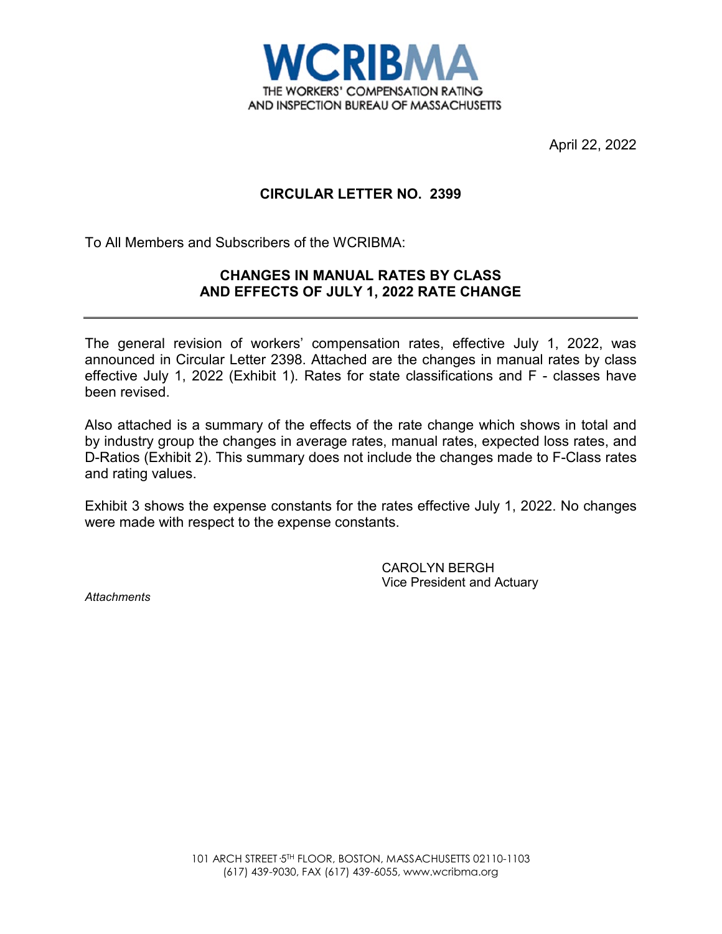

April 22, 2022

# **CIRCULAR LETTER NO. 2399**

To All Members and Subscribers of the WCRIBMA:

# **CHANGES IN MANUAL RATES BY CLASS AND EFFECTS OF JULY 1, 2022 RATE CHANGE**

The general revision of workers' compensation rates, effective July 1, 2022, was announced in Circular Letter 2398. Attached are the changes in manual rates by class effective July 1, 2022 (Exhibit 1). Rates for state classifications and F - classes have been revised.

Also attached is a summary of the effects of the rate change which shows in total and by industry group the changes in average rates, manual rates, expected loss rates, and D-Ratios (Exhibit 2). This summary does not include the changes made to F-Class rates and rating values.

Exhibit 3 shows the expense constants for the rates effective July 1, 2022. No changes were made with respect to the expense constants.

> CAROLYN BERGH Vice President and Actuary

*Attachments*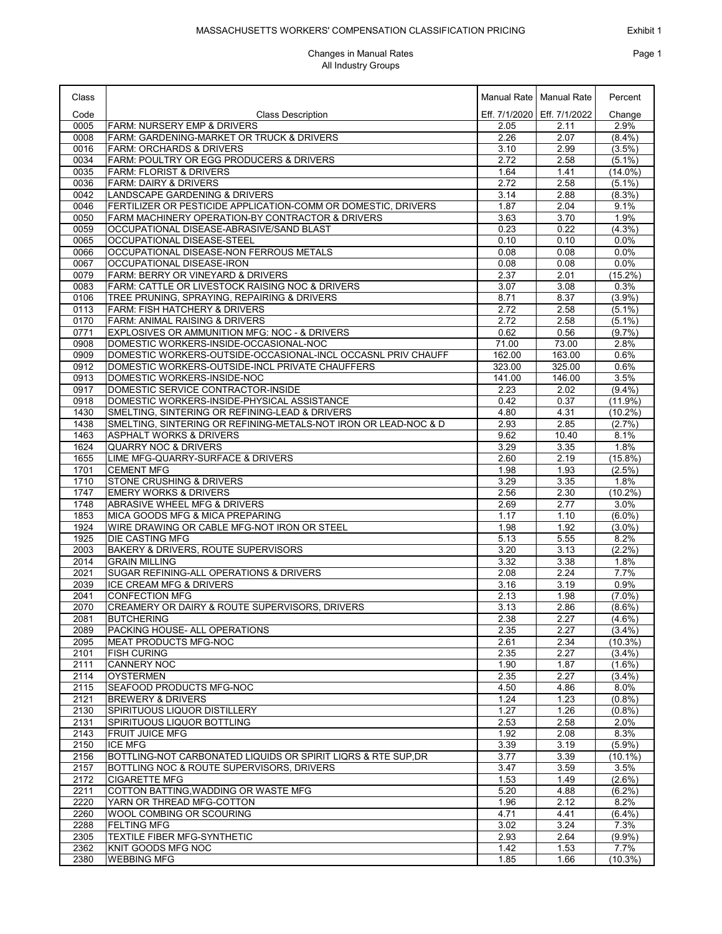| Class        |                                                                                                                   |               | Manual Rate   Manual Rate     | Percent                |
|--------------|-------------------------------------------------------------------------------------------------------------------|---------------|-------------------------------|------------------------|
| Code         | <b>Class Description</b>                                                                                          |               | Eff. 7/1/2020   Eff. 7/1/2022 | Change                 |
| 0005         | <b>FARM: NURSERY EMP &amp; DRIVERS</b>                                                                            | 2.05          | 2.11                          | 2.9%                   |
| 0008<br>0016 | FARM: GARDENING-MARKET OR TRUCK & DRIVERS<br><b>FARM: ORCHARDS &amp; DRIVERS</b>                                  | 2.26<br>3.10  | 2.07<br>2.99                  | $(8.4\%)$<br>(3.5%)    |
| 0034         | FARM: POULTRY OR EGG PRODUCERS & DRIVERS                                                                          | 2.72          | 2.58                          | $(5.1\%)$              |
| 0035         | <b>FARM: FLORIST &amp; DRIVERS</b>                                                                                | 1.64          | 1.41                          | $(14.0\%)$             |
| 0036         | <b>FARM: DAIRY &amp; DRIVERS</b>                                                                                  | 2.72          | 2.58                          | $(5.1\%)$              |
| 0042<br>0046 | LANDSCAPE GARDENING & DRIVERS<br>FERTILIZER OR PESTICIDE APPLICATION-COMM OR DOMESTIC, DRIVERS                    | 3.14<br>1.87  | 2.88<br>2.04                  | $(8.3\%)$<br>9.1%      |
| 0050         | FARM MACHINERY OPERATION-BY CONTRACTOR & DRIVERS                                                                  | 3.63          | 3.70                          | 1.9%                   |
| 0059         | OCCUPATIONAL DISEASE-ABRASIVE/SAND BLAST                                                                          | 0.23          | 0.22                          | $(4.3\%)$              |
| 0065         | OCCUPATIONAL DISEASE-STEEL                                                                                        | 0.10          | 0.10                          | 0.0%                   |
| 0066         | OCCUPATIONAL DISEASE-NON FERROUS METALS                                                                           | 0.08          | 0.08                          | 0.0%                   |
| 0067<br>0079 | OCCUPATIONAL DISEASE-IRON<br>FARM: BERRY OR VINEYARD & DRIVERS                                                    | 0.08<br>2.37  | 0.08<br>2.01                  | 0.0%<br>$(15.2\%)$     |
| 0083         | <b>FARM: CATTLE OR LIVESTOCK RAISING NOC &amp; DRIVERS</b>                                                        | 3.07          | 3.08                          | 0.3%                   |
| 0106         | TREE PRUNING, SPRAYING, REPAIRING & DRIVERS                                                                       | 8.71          | 8.37                          | (3.9%)                 |
| 0113         | FARM: FISH HATCHERY & DRIVERS                                                                                     | 2.72          | 2.58                          | $(5.1\%)$              |
| 0170         | <b>FARM: ANIMAL RAISING &amp; DRIVERS</b>                                                                         | 2.72          | 2.58                          | $(5.1\%)$              |
| 0771<br>0908 | EXPLOSIVES OR AMMUNITION MFG: NOC - & DRIVERS<br>DOMESTIC WORKERS-INSIDE-OCCASIONAL-NOC                           | 0.62<br>71.00 | 0.56<br>73.00                 | $(9.7\%)$<br>2.8%      |
| 0909         | DOMESTIC WORKERS-OUTSIDE-OCCASIONAL-INCL OCCASNL PRIV CHAUFF                                                      | 162.00        | 163.00                        | 0.6%                   |
| 0912         | DOMESTIC WORKERS-OUTSIDE-INCL PRIVATE CHAUFFERS                                                                   | 323.00        | 325.00                        | 0.6%                   |
| 0913         | DOMESTIC WORKERS-INSIDE-NOC                                                                                       | 141.00        | 146.00                        | 3.5%                   |
| 0917         | DOMESTIC SERVICE CONTRACTOR-INSIDE                                                                                | 2.23          | 2.02                          | $(9.4\%)$              |
| 0918         | DOMESTIC WORKERS-INSIDE-PHYSICAL ASSISTANCE                                                                       | 0.42          | 0.37                          | $(11.9\%)$             |
| 1430<br>1438 | SMELTING, SINTERING OR REFINING-LEAD & DRIVERS<br>SMELTING, SINTERING OR REFINING-METALS-NOT IRON OR LEAD-NOC & D | 4.80<br>2.93  | 4.31<br>2.85                  | $(10.2\%)$<br>(2.7%)   |
| 1463         | <b>ASPHALT WORKS &amp; DRIVERS</b>                                                                                | 9.62          | 10.40                         | 8.1%                   |
| 1624         | <b>QUARRY NOC &amp; DRIVERS</b>                                                                                   | 3.29          | 3.35                          | 1.8%                   |
| 1655         | LIME MFG-QUARRY-SURFACE & DRIVERS                                                                                 | 2.60          | 2.19                          | $(15.8\%)$             |
| 1701         | <b>CEMENT MFG</b>                                                                                                 | 1.98          | 1.93                          | $(2.5\%)$              |
| 1710         | <b>STONE CRUSHING &amp; DRIVERS</b>                                                                               | 3.29          | 3.35                          | 1.8%                   |
| 1747<br>1748 | <b>EMERY WORKS &amp; DRIVERS</b><br>ABRASIVE WHEEL MFG & DRIVERS                                                  | 2.56<br>2.69  | 2.30<br>2.77                  | $(10.2\%)$<br>3.0%     |
| 1853         | MICA GOODS MFG & MICA PREPARING                                                                                   | 1.17          | 1.10                          | $(6.0\%)$              |
| 1924         | WIRE DRAWING OR CABLE MFG-NOT IRON OR STEEL                                                                       | 1.98          | 1.92                          | $(3.0\%)$              |
| 1925         | <b>DIE CASTING MFG</b>                                                                                            | 5.13          | 5.55                          | 8.2%                   |
| 2003         | BAKERY & DRIVERS, ROUTE SUPERVISORS                                                                               | 3.20          | 3.13                          | $(2.2\%)$              |
| 2014<br>2021 | <b>GRAIN MILLING</b><br>SUGAR REFINING-ALL OPERATIONS & DRIVERS                                                   | 3.32<br>2.08  | 3.38<br>2.24                  | 1.8%<br>7.7%           |
| 2039         | ICE CREAM MFG & DRIVERS                                                                                           | 3.16          | 3.19                          | 0.9%                   |
| 2041         | <b>CONFECTION MFG</b>                                                                                             | 2.13          | 1.98                          | $(7.0\%)$              |
| 2070         | CREAMERY OR DAIRY & ROUTE SUPERVISORS, DRIVERS                                                                    | 3.13          | 2.86                          | $(8.6\%)$              |
| 2081         | <b>BUTCHERING</b>                                                                                                 | 2.38          | 2.27                          | $(4.6\%)$              |
| 2089<br>2095 | PACKING HOUSE- ALL OPERATIONS<br><b>MEAT PRODUCTS MFG-NOC</b>                                                     | 2.35<br>2.61  | 2.27<br>2.34                  | (3.4%)<br>$(10.3\%)$   |
| 2101         | <b>FISH CURING</b>                                                                                                | 2.35          | 2.27                          | (3.4%)                 |
| 2111         | <b>CANNERY NOC</b>                                                                                                | 1.90          | 1.87                          | $(1.6\%)$              |
| 2114         | <b>OYSTERMEN</b>                                                                                                  | 2.35          | 2.27                          | (3.4%)                 |
| 2115         | SEAFOOD PRODUCTS MFG-NOC                                                                                          | 4.50          | 4.86                          | 8.0%                   |
| 2121         | <b>BREWERY &amp; DRIVERS</b>                                                                                      | 1.24          | 1.23                          | (0.8%                  |
| 2130<br>2131 | SPIRITUOUS LIQUOR DISTILLERY<br>SPIRITUOUS LIQUOR BOTTLING                                                        | 1.27<br>2.53  | 1.26<br>2.58                  | (0.8%<br>2.0%          |
| 2143         | <b>FRUIT JUICE MFG</b>                                                                                            | 1.92          | 2.08                          | 8.3%                   |
| 2150         | <b>ICE MFG</b>                                                                                                    | 3.39          | 3.19                          | (5.9%)                 |
| 2156         | BOTTLING-NOT CARBONATED LIQUIDS OR SPIRIT LIQRS & RTE SUP, DR                                                     | 3.77          | 3.39                          | $(10.1\%)$             |
| 2157         | BOTTLING NOC & ROUTE SUPERVISORS, DRIVERS                                                                         | 3.47          | 3.59                          | 3.5%                   |
| 2172<br>2211 | CIGARETTE MFG<br>COTTON BATTING, WADDING OR WASTE MFG                                                             | 1.53<br>5.20  | 1.49<br>4.88                  | $(2.6\%)$<br>$(6.2\%)$ |
| 2220         | YARN OR THREAD MFG-COTTON                                                                                         | 1.96          | 2.12                          | 8.2%                   |
| 2260         | WOOL COMBING OR SCOURING                                                                                          | 4.71          | 4.41                          | $(6.4\%)$              |
| 2288         | <b>FELTING MFG</b>                                                                                                | 3.02          | 3.24                          | 7.3%                   |
| 2305         | <b>TEXTILE FIBER MFG-SYNTHETIC</b>                                                                                | 2.93          | 2.64                          | $(9.9\%)$              |
| 2362         | KNIT GOODS MFG NOC                                                                                                | 1.42          | 1.53                          | 7.7%                   |
| 2380         | <b>WEBBING MFG</b>                                                                                                | 1.85          | 1.66                          | $(10.3\%)$             |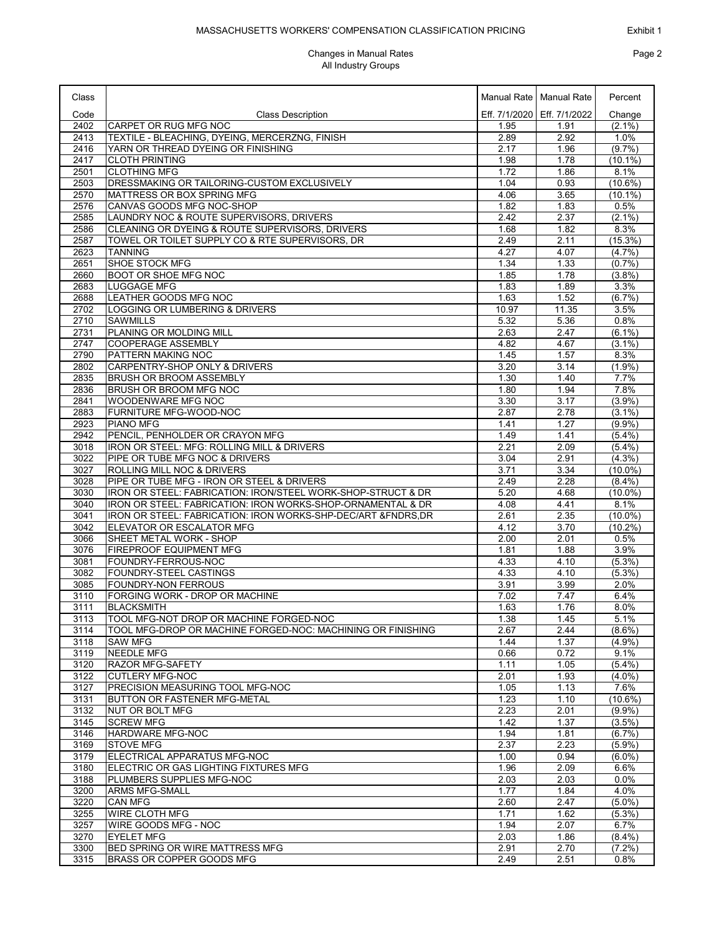#### MASSACHUSETTS WORKERS' COMPENSATION CLASSIFICATION PRICING

| Class        |                                                                                                            |              | Manual Rate   Manual Rate     | Percent                 |
|--------------|------------------------------------------------------------------------------------------------------------|--------------|-------------------------------|-------------------------|
| Code         | <b>Class Description</b>                                                                                   |              | Eff. 7/1/2020   Eff. 7/1/2022 | Change                  |
| 2402         | CARPET OR RUG MFG NOC                                                                                      | 1.95         | 1.91                          | $(2.1\%)$               |
| 2413         | TEXTILE - BLEACHING, DYEING, MERCERZNG, FINISH                                                             | 2.89         | 2.92                          | 1.0%                    |
| 2416         | YARN OR THREAD DYEING OR FINISHING                                                                         | 2.17         | 1.96                          | (9.7%                   |
| 2417         | <b>CLOTH PRINTING</b>                                                                                      | 1.98         | 1.78                          | $(10.1\%)$              |
| 2501         | <b>CLOTHING MFG</b>                                                                                        | 1.72         | 1.86                          | 8.1%                    |
| 2503<br>2570 | DRESSMAKING OR TAILORING-CUSTOM EXCLUSIVELY<br>MATTRESS OR BOX SPRING MFG                                  | 1.04<br>4.06 | 0.93<br>3.65                  | $(10.6\%)$<br>(10.1%)   |
| 2576         | CANVAS GOODS MFG NOC-SHOP                                                                                  | 1.82         | 1.83                          | 0.5%                    |
| 2585         | LAUNDRY NOC & ROUTE SUPERVISORS, DRIVERS                                                                   | 2.42         | 2.37                          | $(2.1\%)$               |
| 2586         | CLEANING OR DYEING & ROUTE SUPERVISORS, DRIVERS                                                            | 1.68         | 1.82                          | 8.3%                    |
| 2587         | TOWEL OR TOILET SUPPLY CO & RTE SUPERVISORS, DR                                                            | 2.49         | 2.11                          | $(15.3\%)$              |
| 2623         | <b>TANNING</b>                                                                                             | 4.27         | 4.07                          | (4.7%)                  |
| 2651<br>2660 | <b>SHOE STOCK MFG</b><br><b>BOOT OR SHOE MFG NOC</b>                                                       | 1.34<br>1.85 | 1.33<br>1.78                  | (0.7%<br>$(3.8\%)$      |
| 2683         | <b>LUGGAGE MFG</b>                                                                                         | 1.83         | 1.89                          | 3.3%                    |
| 2688         | LEATHER GOODS MFG NOC                                                                                      | 1.63         | 1.52                          | (6.7%)                  |
| 2702         | LOGGING OR LUMBERING & DRIVERS                                                                             | 10.97        | 11.35                         | 3.5%                    |
| 2710         | <b>SAWMILLS</b>                                                                                            | 5.32         | 5.36                          | 0.8%                    |
| 2731         | PLANING OR MOLDING MILL                                                                                    | 2.63         | 2.47                          | $(6.1\%)$               |
| 2747         | <b>COOPERAGE ASSEMBLY</b>                                                                                  | 4.82         | 4.67                          | $(3.1\%)$               |
| 2790         | PATTERN MAKING NOC                                                                                         | 1.45         | 1.57                          | 8.3%                    |
| 2802         | CARPENTRY-SHOP ONLY & DRIVERS<br><b>BRUSH OR BROOM ASSEMBLY</b>                                            | 3.20<br>1.30 | 3.14                          | (1.9%                   |
| 2835<br>2836 | BRUSH OR BROOM MFG NOC                                                                                     | 1.80         | 1.40<br>1.94                  | 7.7%<br>7.8%            |
| 2841         | WOODENWARE MFG NOC                                                                                         | 3.30         | 3.17                          | (3.9%)                  |
| 2883         | FURNITURE MFG-WOOD-NOC                                                                                     | 2.87         | 2.78                          | $(3.1\%)$               |
| 2923         | <b>PIANO MFG</b>                                                                                           | 1.41         | 1.27                          | $(9.9\%)$               |
| 2942         | PENCIL, PENHOLDER OR CRAYON MFG                                                                            | 1.49         | 1.41                          | $(5.4\%)$               |
| 3018         | IRON OR STEEL: MFG: ROLLING MILL & DRIVERS                                                                 | 2.21         | 2.09                          | (5.4%)                  |
| 3022         | PIPE OR TUBE MFG NOC & DRIVERS                                                                             | 3.04         | 2.91                          | $(4.3\%)$               |
| 3027         | ROLLING MILL NOC & DRIVERS                                                                                 | 3.71         | 3.34                          | $(10.0\%)$              |
| 3028<br>3030 | PIPE OR TUBE MFG - IRON OR STEEL & DRIVERS<br>IRON OR STEEL: FABRICATION: IRON/STEEL WORK-SHOP-STRUCT & DR | 2.49<br>5.20 | 2.28<br>4.68                  | $(8.4\%)$<br>$(10.0\%)$ |
| 3040         | IRON OR STEEL: FABRICATION: IRON WORKS-SHOP-ORNAMENTAL & DR                                                | 4.08         | 4.41                          | 8.1%                    |
| 3041         | IRON OR STEEL: FABRICATION: IRON WORKS-SHP-DEC/ART & FNDRS, DR                                             | 2.61         | 2.35                          | $(10.0\%)$              |
| 3042         | ELEVATOR OR ESCALATOR MFG                                                                                  | 4.12         | 3.70                          | $(10.2\%)$              |
| 3066         | SHEET METAL WORK - SHOP                                                                                    | 2.00         | 2.01                          | 0.5%                    |
| 3076         | FIREPROOF EQUIPMENT MFG                                                                                    | 1.81         | 1.88                          | 3.9%                    |
| 3081         | FOUNDRY-FERROUS-NOC                                                                                        | 4.33         | 4.10                          | (5.3%)                  |
| 3082         | FOUNDRY-STEEL CASTINGS<br><b>FOUNDRY-NON FERROUS</b>                                                       | 4.33         | 4.10                          | $(5.3\%)$               |
| 3085<br>3110 | FORGING WORK - DROP OR MACHINE                                                                             | 3.91<br>7.02 | 3.99<br>7.47                  | 2.0%<br>6.4%            |
| 3111         | <b>BLACKSMITH</b>                                                                                          | 1.63         | 1.76                          | 8.0%                    |
| 3113         | TOOL MFG-NOT DROP OR MACHINE FORGED-NOC                                                                    | 1.38         | 1.45                          | 5.1%                    |
| 3114         | TOOL MFG-DROP OR MACHINE FORGED-NOC: MACHINING OR FINISHING                                                | 2.67         | 2.44                          | $(8.6\%)$               |
| 3118         | <b>SAW MFG</b>                                                                                             | 1.44         | 1.37                          | $(4.9\%)$               |
| 3119         | <b>NEEDLE MFG</b>                                                                                          | 0.66         | 0.72                          | 9.1%                    |
| 3120         | <b>RAZOR MFG-SAFETY</b>                                                                                    | 1.11         | 1.05                          | $(5.4\%)$               |
| 3122         | <b>CUTLERY MFG-NOC</b>                                                                                     | 2.01         | 1.93                          | $(4.0\%)$               |
| 3127<br>3131 | PRECISION MEASURING TOOL MFG-NOC<br><b>BUTTON OR FASTENER MFG-METAL</b>                                    | 1.05<br>1.23 | 1.13<br>1.10                  | 7.6%<br>$(10.6\%)$      |
| 3132         | NUT OR BOLT MFG                                                                                            | 2.23         | 2.01                          | $(9.9\%)$               |
| 3145         | <b>SCREW MFG</b>                                                                                           | 1.42         | 1.37                          | $(3.5\%)$               |
| 3146         | <b>HARDWARE MFG-NOC</b>                                                                                    | 1.94         | 1.81                          | $(6.7\%)$               |
| 3169         | <b>STOVE MFG</b>                                                                                           | 2.37         | 2.23                          | (5.9%)                  |
| 3179         | ELECTRICAL APPARATUS MFG-NOC                                                                               | 1.00         | 0.94                          | $(6.0\%)$               |
| 3180         | ELECTRIC OR GAS LIGHTING FIXTURES MFG                                                                      | 1.96         | 2.09                          | 6.6%                    |
| 3188         | PLUMBERS SUPPLIES MFG-NOC                                                                                  | 2.03         | 2.03                          | $0.0\%$                 |
| 3200<br>3220 | <b>ARMS MFG-SMALL</b><br><b>CAN MFG</b>                                                                    | 1.77<br>2.60 | 1.84<br>2.47                  | 4.0%<br>$(5.0\%)$       |
| 3255         | WIRE CLOTH MFG                                                                                             | 1.71         | 1.62                          | (5.3%)                  |
| 3257         | WIRE GOODS MFG - NOC                                                                                       | 1.94         | 2.07                          | 6.7%                    |
| 3270         | <b>EYELET MFG</b>                                                                                          | 2.03         | 1.86                          | $(8.4\%)$               |
| 3300         | BED SPRING OR WIRE MATTRESS MFG                                                                            | 2.91         | 2.70                          | $(7.2\%)$               |
| 3315         | BRASS OR COPPER GOODS MFG                                                                                  | 2.49         | 2.51                          | $0.8\%$                 |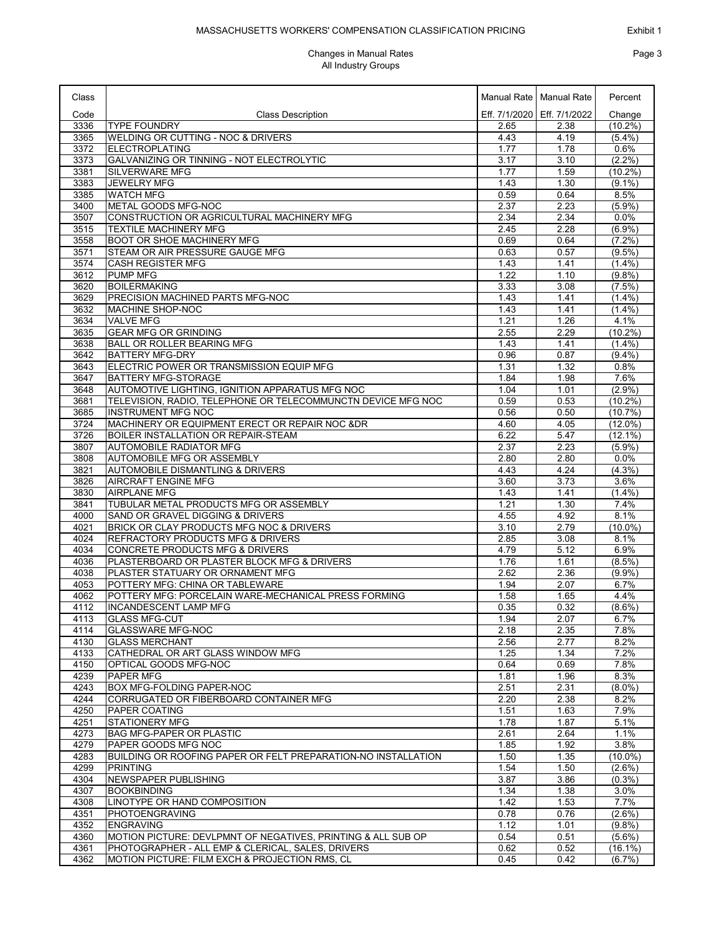| Class        |                                                               |              | Manual Rate   Manual Rate     | Percent                 |
|--------------|---------------------------------------------------------------|--------------|-------------------------------|-------------------------|
| Code         | <b>Class Description</b>                                      |              | Eff. 7/1/2020   Eff. 7/1/2022 | Change                  |
| 3336         | <b>TYPE FOUNDRY</b>                                           | 2.65         | 2.38                          | $(10.2\%)$              |
| 3365         | WELDING OR CUTTING - NOC & DRIVERS                            | 4.43         | 4.19                          | $(5.4\%)$               |
| 3372         | <b>ELECTROPLATING</b>                                         | 1.77         | 1.78                          | 0.6%                    |
| 3373         | GALVANIZING OR TINNING - NOT ELECTROLYTIC                     | 3.17         | 3.10                          | $(2.2\%)$               |
| 3381         | <b>SILVERWARE MFG</b>                                         | 1.77         | 1.59                          | $(10.2\%)$              |
| 3383         | <b>JEWELRY MFG</b>                                            | 1.43         | 1.30                          | $(9.1\%)$               |
| 3385         | <b>WATCH MFG</b>                                              | 0.59         | 0.64                          | 8.5%                    |
| 3400         | METAL GOODS MFG-NOC                                           | 2.37         | 2.23                          | $(5.9\%)$               |
| 3507         | CONSTRUCTION OR AGRICULTURAL MACHINERY MFG                    | 2.34         | 2.34                          | 0.0%                    |
| 3515         | <b>TEXTILE MACHINERY MFG</b>                                  | 2.45         | 2.28                          | (6.9%)                  |
| 3558         | BOOT OR SHOE MACHINERY MFG                                    | 0.69         | 0.64                          | $(7.2\%)$               |
| 3571         | STEAM OR AIR PRESSURE GAUGE MFG                               | 0.63         | 0.57                          | $(9.5\%)$               |
| 3574         | <b>CASH REGISTER MFG</b>                                      | 1.43         | 1.41                          | $(1.4\%)$               |
| 3612         | <b>PUMP MFG</b>                                               | 1.22         | 1.10                          | (9.8%)                  |
| 3620         | <b>BOILERMAKING</b>                                           | 3.33         | 3.08                          | $(7.5\%)$               |
| 3629<br>3632 | PRECISION MACHINED PARTS MFG-NOC                              | 1.43<br>1.43 | 1.41<br>1.41                  | $(1.4\%)$               |
| 3634         | MACHINE SHOP-NOC<br><b>VALVE MFG</b>                          | 1.21         | 1.26                          | $(1.4\%)$<br>4.1%       |
|              | <b>GEAR MFG OR GRINDING</b>                                   | 2.55         | 2.29                          |                         |
| 3635<br>3638 | <b>BALL OR ROLLER BEARING MFG</b>                             | 1.43         | 1.41                          | $(10.2\%)$<br>$(1.4\%)$ |
| 3642         | <b>BATTERY MFG-DRY</b>                                        | 0.96         | 0.87                          | $(9.4\%)$               |
| 3643         | ELECTRIC POWER OR TRANSMISSION EQUIP MFG                      | 1.31         | 1.32                          | 0.8%                    |
| 3647         | BATTERY MFG-STORAGE                                           | 1.84         | 1.98                          | 7.6%                    |
| 3648         | AUTOMOTIVE LIGHTING, IGNITION APPARATUS MFG NOC               | 1.04         | 1.01                          | (2.9%)                  |
| 3681         | TELEVISION, RADIO, TELEPHONE OR TELECOMMUNCTN DEVICE MFG NOC  | 0.59         | 0.53                          | $(10.2\%)$              |
| 3685         | <b>INSTRUMENT MFG NOC</b>                                     | 0.56         | 0.50                          | (10.7%)                 |
| 3724         | MACHINERY OR EQUIPMENT ERECT OR REPAIR NOC &DR                | 4.60         | 4.05                          | $(12.0\%)$              |
| 3726         | BOILER INSTALLATION OR REPAIR-STEAM                           | 6.22         | 5.47                          | $(12.1\%)$              |
| 3807         | <b>AUTOMOBILE RADIATOR MFG</b>                                | 2.37         | 2.23                          | $(5.9\%)$               |
| 3808         | AUTOMOBILE MFG OR ASSEMBLY                                    | 2.80         | 2.80                          | 0.0%                    |
| 3821         | <b>AUTOMOBILE DISMANTLING &amp; DRIVERS</b>                   | 4.43         | 4.24                          | $(4.3\%)$               |
| 3826         | <b>AIRCRAFT ENGINE MFG</b>                                    | 3.60         | 3.73                          | 3.6%                    |
| 3830         | <b>AIRPLANE MFG</b>                                           | 1.43         | 1.41                          | $(1.4\%)$               |
| 3841         | TUBULAR METAL PRODUCTS MFG OR ASSEMBLY                        | 1.21         | 1.30                          | 7.4%                    |
| 4000         | SAND OR GRAVEL DIGGING & DRIVERS                              | 4.55         | 4.92                          | 8.1%                    |
| 4021         | BRICK OR CLAY PRODUCTS MFG NOC & DRIVERS                      | 3.10         | 2.79                          | $(10.0\%)$              |
| 4024         | REFRACTORY PRODUCTS MFG & DRIVERS                             | 2.85         | 3.08                          | 8.1%                    |
| 4034         | CONCRETE PRODUCTS MFG & DRIVERS                               | 4.79         | 5.12                          | 6.9%                    |
| 4036         | PLASTERBOARD OR PLASTER BLOCK MFG & DRIVERS                   | 1.76         | 1.61                          | $(8.5\%)$               |
| 4038         | PLASTER STATUARY OR ORNAMENT MFG                              | 2.62         | 2.36                          | $(9.9\%)$               |
| 4053         | POTTERY MFG: CHINA OR TABLEWARE                               | 1.94         | 2.07                          | 6.7%                    |
| 4062         | POTTERY MFG: PORCELAIN WARE-MECHANICAL PRESS FORMING          | 1.58         | 1.65                          | 4.4%                    |
| 4112         | <b>INCANDESCENT LAMP MFG</b>                                  | 0.35         | 0.32                          | $(8.6\%)$               |
| 4113         | <b>GLASS MFG-CUT</b>                                          | 1.94         | 2.07                          | 6.7%                    |
| 4114         | <b>GLASSWARE MFG-NOC</b>                                      | 2.18         | 2.35                          | 7.8%                    |
| 4130<br>4133 | <b>GLASS MERCHANT</b><br>CATHEDRAL OR ART GLASS WINDOW MFG    | 2.56         | 2.77<br>1.34                  | 8.2%<br>7.2%            |
| 4150         | OPTICAL GOODS MFG-NOC                                         | 1.25<br>0.64 | 0.69                          | 7.8%                    |
| 4239         | PAPER MFG                                                     | 1.81         | 1.96                          | 8.3%                    |
| 4243         | BOX MFG-FOLDING PAPER-NOC                                     | 2.51         | 2.31                          | $(8.0\%)$               |
| 4244         | CORRUGATED OR FIBERBOARD CONTAINER MFG                        | 2.20         | 2.38                          | 8.2%                    |
| 4250         | PAPER COATING                                                 | 1.51         | 1.63                          | 7.9%                    |
| 4251         | <b>STATIONERY MFG</b>                                         | 1.78         | 1.87                          | 5.1%                    |
| 4273         | BAG MFG-PAPER OR PLASTIC                                      | 2.61         | 2.64                          | 1.1%                    |
| 4279         | PAPER GOODS MFG NOC                                           | 1.85         | 1.92                          | 3.8%                    |
| 4283         | BUILDING OR ROOFING PAPER OR FELT PREPARATION-NO INSTALLATION | 1.50         | 1.35                          | $(10.0\%)$              |
| 4299         | <b>PRINTING</b>                                               | 1.54         | 1.50                          | $(2.6\%)$               |
| 4304         | <b>NEWSPAPER PUBLISHING</b>                                   | 3.87         | 3.86                          | $(0.3\%)$               |
| 4307         | <b>BOOKBINDING</b>                                            | 1.34         | 1.38                          | 3.0%                    |
| 4308         | LINOTYPE OR HAND COMPOSITION                                  | 1.42         | 1.53                          | 7.7%                    |
| 4351         | PHOTOENGRAVING                                                | 0.78         | 0.76                          | $(2.6\%)$               |
| 4352         | <b>ENGRAVING</b>                                              | 1.12         | 1.01                          | (9.8%)                  |
| 4360         | MOTION PICTURE: DEVLPMNT OF NEGATIVES, PRINTING & ALL SUB OP  | 0.54         | 0.51                          | $(5.6\%)$               |
| 4361         | PHOTOGRAPHER - ALL EMP & CLERICAL, SALES, DRIVERS             | 0.62         | 0.52                          | $(16.1\%)$              |
| 4362         | MOTION PICTURE: FILM EXCH & PROJECTION RMS, CL                | 0.45         | 0.42                          | $(6.7\%)$               |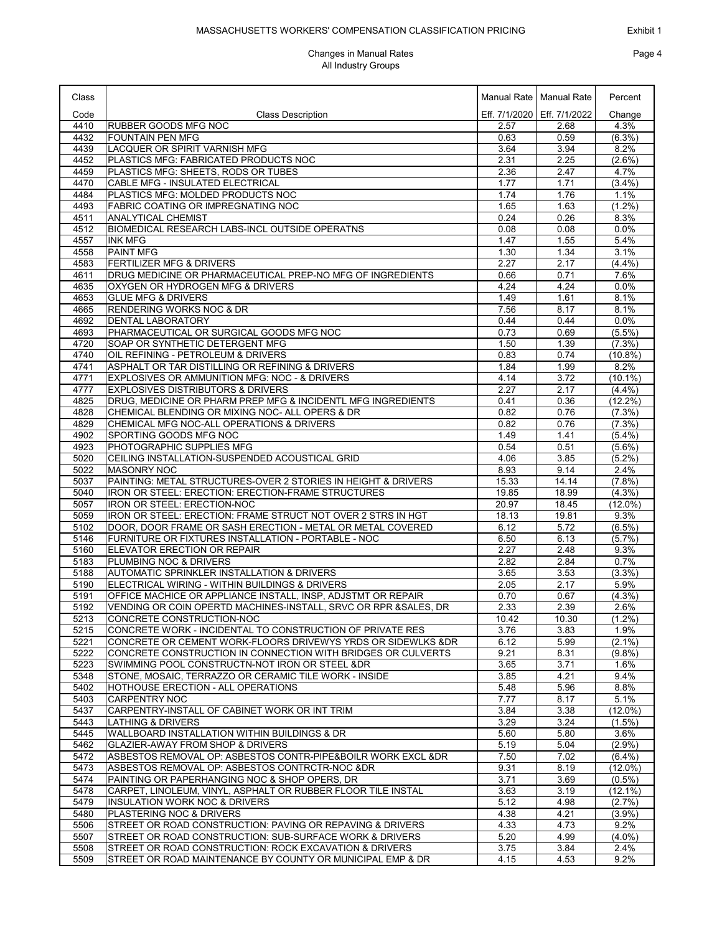### MASSACHUSETTS WORKERS' COMPENSATION CLASSIFICATION PRICING

| Class        |                                                                                                                                  |                | Manual Rate   Manual Rate     | Percent             |
|--------------|----------------------------------------------------------------------------------------------------------------------------------|----------------|-------------------------------|---------------------|
| Code         | <b>Class Description</b>                                                                                                         |                | Eff. 7/1/2020   Eff. 7/1/2022 | Change              |
| 4410         | <b>RUBBER GOODS MFG NOC</b>                                                                                                      | 2.57           | 2.68                          | 4.3%                |
| 4432         | <b>FOUNTAIN PEN MFG</b>                                                                                                          | 0.63           | 0.59                          | $(6.3\%)$           |
| 4439<br>4452 | LACQUER OR SPIRIT VARNISH MFG<br>PLASTICS MFG: FABRICATED PRODUCTS NOC                                                           | 3.64<br>2.31   | 3.94<br>2.25                  | 8.2%<br>$(2.6\%)$   |
| 4459         | PLASTICS MFG: SHEETS, RODS OR TUBES                                                                                              | 2.36           | 2.47                          | 4.7%                |
| 4470         | CABLE MFG - INSULATED ELECTRICAL                                                                                                 | 1.77           | 1.71                          | (3.4%)              |
| 4484         | PLASTICS MFG: MOLDED PRODUCTS NOC                                                                                                | 1.74           | 1.76                          | 1.1%                |
| 4493         | <b>FABRIC COATING OR IMPREGNATING NOC</b>                                                                                        | 1.65           | 1.63                          | $(1.2\%)$           |
| 4511         | <b>ANALYTICAL CHEMIST</b>                                                                                                        | 0.24           | 0.26                          | 8.3%                |
| 4512         | BIOMEDICAL RESEARCH LABS-INCL OUTSIDE OPERATNS                                                                                   | 0.08           | 0.08                          | 0.0%                |
| 4557         | <b>INK MFG</b>                                                                                                                   | 1.47           | 1.55                          | 5.4%                |
| 4558<br>4583 | <b>PAINT MFG</b><br><b>FERTILIZER MFG &amp; DRIVERS</b>                                                                          | 1.30<br>2.27   | 1.34<br>2.17                  | 3.1%<br>(4.4%)      |
| 4611         | DRUG MEDICINE OR PHARMACEUTICAL PREP-NO MFG OF INGREDIENTS                                                                       | 0.66           | 0.71                          | 7.6%                |
| 4635         | OXYGEN OR HYDROGEN MFG & DRIVERS                                                                                                 | 4.24           | 4.24                          | 0.0%                |
| 4653         | <b>GLUE MFG &amp; DRIVERS</b>                                                                                                    | 1.49           | 1.61                          | 8.1%                |
| 4665         | <b>RENDERING WORKS NOC &amp; DR</b>                                                                                              | 7.56           | 8.17                          | 8.1%                |
| 4692         | DENTAL LABORATORY                                                                                                                | 0.44           | 0.44                          | 0.0%                |
| 4693         | PHARMACEUTICAL OR SURGICAL GOODS MFG NOC                                                                                         | 0.73           | 0.69                          | $(5.5\%)$           |
| 4720         | SOAP OR SYNTHETIC DETERGENT MFG                                                                                                  | 1.50           | 1.39                          | $(7.3\%)$           |
| 4740         | OIL REFINING - PETROLEUM & DRIVERS                                                                                               | 0.83           | 0.74                          | $(10.8\%)$          |
| 4741<br>4771 | ASPHALT OR TAR DISTILLING OR REFINING & DRIVERS<br>EXPLOSIVES OR AMMUNITION MFG: NOC - & DRIVERS                                 | 1.84<br>4.14   | 1.99<br>3.72                  | 8.2%<br>$(10.1\%)$  |
| 4777         | EXPLOSIVES DISTRIBUTORS & DRIVERS                                                                                                | 2.27           | 2.17                          | (4.4%)              |
| 4825         | DRUG, MEDICINE OR PHARM PREP MFG & INCIDENTL MFG INGREDIENTS                                                                     | 0.41           | 0.36                          | $(12.2\%)$          |
| 4828         | CHEMICAL BLENDING OR MIXING NOC- ALL OPERS & DR                                                                                  | 0.82           | 0.76                          | (7.3%)              |
| 4829         | CHEMICAL MFG NOC-ALL OPERATIONS & DRIVERS                                                                                        | 0.82           | 0.76                          | $(7.3\%)$           |
| 4902         | SPORTING GOODS MFG NOC                                                                                                           | 1.49           | 1.41                          | (5.4%)              |
| 4923         | PHOTOGRAPHIC SUPPLIES MFG                                                                                                        | 0.54           | 0.51                          | $(5.6\%)$           |
| 5020         | CEILING INSTALLATION-SUSPENDED ACOUSTICAL GRID                                                                                   | 4.06           | 3.85                          | $(5.2\%)$           |
| 5022         | <b>MASONRY NOC</b>                                                                                                               | 8.93           | 9.14                          | 2.4%                |
| 5037         | PAINTING: METAL STRUCTURES-OVER 2 STORIES IN HEIGHT & DRIVERS                                                                    | 15.33          | 14.14<br>18.99                | (7.8%)<br>$(4.3\%)$ |
| 5040<br>5057 | IRON OR STEEL: ERECTION: ERECTION-FRAME STRUCTURES<br>IRON OR STEEL: ERECTION-NOC                                                | 19.85<br>20.97 | 18.45                         | $(12.0\%)$          |
| 5059         | IRON OR STEEL: ERECTION: FRAME STRUCT NOT OVER 2 STRS IN HGT                                                                     | 18.13          | 19.81                         | 9.3%                |
| 5102         | DOOR, DOOR FRAME OR SASH ERECTION - METAL OR METAL COVERED                                                                       | 6.12           | 5.72                          | $(6.5\%)$           |
| 5146         | FURNITURE OR FIXTURES INSTALLATION - PORTABLE - NOC                                                                              | 6.50           | 6.13                          | (5.7%)              |
| 5160         | ELEVATOR ERECTION OR REPAIR                                                                                                      | 2.27           | 2.48                          | 9.3%                |
| 5183         | PLUMBING NOC & DRIVERS                                                                                                           | 2.82           | 2.84                          | 0.7%                |
| 5188         | AUTOMATIC SPRINKLER INSTALLATION & DRIVERS                                                                                       | 3.65           | 3.53                          | (3.3%)              |
| 5190         | ELECTRICAL WIRING - WITHIN BUILDINGS & DRIVERS                                                                                   | 2.05           | 2.17                          | 5.9%                |
| 5191<br>5192 | OFFICE MACHICE OR APPLIANCE INSTALL, INSP, ADJSTMT OR REPAIR<br>VENDING OR COIN OPERTD MACHINES-INSTALL, SRVC OR RPR & SALES, DR | 0.70<br>2.33   | 0.67<br>2.39                  | $(4.3\%)$<br>2.6%   |
| 5213         | CONCRETE CONSTRUCTION-NOC                                                                                                        | 10.42          | 10.30                         | $(1.2\%)$           |
| 5215         | CONCRETE WORK - INCIDENTAL TO CONSTRUCTION OF PRIVATE RES                                                                        | 3.76           | 3.83                          | 1.9%                |
| 5221         | CONCRETE OR CEMENT WORK-FLOORS DRIVEWYS YRDS OR SIDEWLKS & DR                                                                    | 6.12           | 5.99                          | $(2.1\%)$           |
| 5222         | CONCRETE CONSTRUCTION IN CONNECTION WITH BRIDGES OR CULVERTS                                                                     | 9.21           | 8.31                          | $(9.8\%)$           |
| 5223         | SWIMMING POOL CONSTRUCTN-NOT IRON OR STEEL &DR                                                                                   | 3.65           | 3.71                          | 1.6%                |
| 5348         | STONE, MOSAIC, TERRAZZO OR CERAMIC TILE WORK - INSIDE                                                                            | 3.85           | 4.21                          | 9.4%                |
| 5402         | <b>HOTHOUSE ERECTION - ALL OPERATIONS</b>                                                                                        | 5.48           | 5.96                          | 8.8%                |
| 5403<br>5437 | <b>CARPENTRY NOC</b><br>CARPENTRY-INSTALL OF CABINET WORK OR INT TRIM                                                            | 7.77<br>3.84   | 8.17<br>3.38                  | 5.1%<br>$(12.0\%)$  |
| 5443         | LATHING & DRIVERS                                                                                                                | 3.29           | 3.24                          | $(1.5\%)$           |
| 5445         | <b>WALLBOARD INSTALLATION WITHIN BUILDINGS &amp; DR</b>                                                                          | 5.60           | 5.80                          | 3.6%                |
| 5462         | <b>GLAZIER-AWAY FROM SHOP &amp; DRIVERS</b>                                                                                      | 5.19           | 5.04                          | $(2.9\%)$           |
| 5472         | ASBESTOS REMOVAL OP: ASBESTOS CONTR-PIPE&BOILR WORK EXCL &DR                                                                     | 7.50           | 7.02                          | $(6.4\%)$           |
| 5473         | ASBESTOS REMOVAL OP: ASBESTOS CONTRCTR-NOC &DR                                                                                   | 9.31           | 8.19                          | $(12.0\%)$          |
| 5474         | PAINTING OR PAPERHANGING NOC & SHOP OPERS, DR                                                                                    | 3.71           | 3.69                          | $(0.5\%)$           |
| 5478         | CARPET, LINOLEUM, VINYL, ASPHALT OR RUBBER FLOOR TILE INSTAL                                                                     | 3.63           | 3.19                          | $(12.1\%)$          |
| 5479         | <b>INSULATION WORK NOC &amp; DRIVERS</b>                                                                                         | 5.12           | 4.98                          | (2.7%)              |
| 5480         | PLASTERING NOC & DRIVERS                                                                                                         | 4.38           | 4.21                          | $(3.9\%)$           |
| 5506<br>5507 | STREET OR ROAD CONSTRUCTION: PAVING OR REPAVING & DRIVERS<br>STREET OR ROAD CONSTRUCTION: SUB-SURFACE WORK & DRIVERS             | 4.33<br>5.20   | 4.73<br>4.99                  | 9.2%<br>$(4.0\%)$   |
| 5508         | STREET OR ROAD CONSTRUCTION: ROCK EXCAVATION & DRIVERS                                                                           | 3.75           | 3.84                          | 2.4%                |
| 5509         | STREET OR ROAD MAINTENANCE BY COUNTY OR MUNICIPAL EMP & DR                                                                       | 4.15           | 4.53                          | $9.2\%$             |
|              |                                                                                                                                  |                |                               |                     |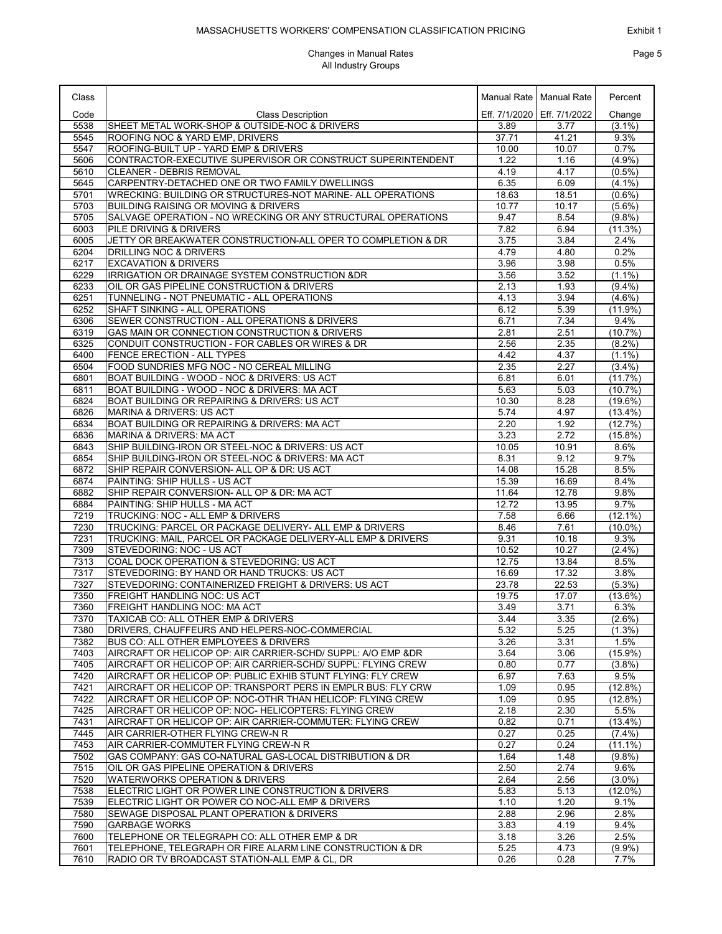# Exhibit 1 Page 5

### MASSACHUSETTS WORKERS' COMPENSATION CLASSIFICATION PRICING

| Class        |                                                                                                                         |              | Manual Rate   Manual Rate     | Percent                |
|--------------|-------------------------------------------------------------------------------------------------------------------------|--------------|-------------------------------|------------------------|
| Code         | <b>Class Description</b>                                                                                                |              | Eff. 7/1/2020   Eff. 7/1/2022 | Change                 |
| 5538         | SHEET METAL WORK-SHOP & OUTSIDE-NOC & DRIVERS                                                                           | 3.89         | 3.77                          | $(3.1\%)$              |
| 5545         | ROOFING NOC & YARD EMP, DRIVERS                                                                                         | 37.71        | 41.21                         | 9.3%                   |
| 5547         | ROOFING-BUILT UP - YARD EMP & DRIVERS                                                                                   | 10.00        | 10.07                         | 0.7%                   |
| 5606<br>5610 | CONTRACTOR-EXECUTIVE SUPERVISOR OR CONSTRUCT SUPERINTENDENT<br>CLEANER - DEBRIS REMOVAL                                 | 1.22<br>4.19 | 1.16<br>4.17                  | $(4.9\%)$<br>$(0.5\%)$ |
| 5645         | CARPENTRY-DETACHED ONE OR TWO FAMILY DWELLINGS                                                                          | 6.35         | 6.09                          | $(4.1\%)$              |
| 5701         | WRECKING: BUILDING OR STRUCTURES-NOT MARINE- ALL OPERATIONS                                                             | 18.63        | 18.51                         | $(0.6\%)$              |
| 5703         | <b>BUILDING RAISING OR MOVING &amp; DRIVERS</b>                                                                         | 10.77        | 10.17                         | $(5.6\%)$              |
| 5705         | SALVAGE OPERATION - NO WRECKING OR ANY STRUCTURAL OPERATIONS                                                            | 9.47         | 8.54                          | (9.8%)                 |
| 6003         | PILE DRIVING & DRIVERS                                                                                                  | 7.82         | 6.94                          | (11.3%)                |
| 6005         | JETTY OR BREAKWATER CONSTRUCTION-ALL OPER TO COMPLETION & DR                                                            | 3.75         | 3.84                          | 2.4%                   |
| 6204         | <b>DRILLING NOC &amp; DRIVERS</b>                                                                                       | 4.79         | 4.80                          | 0.2%                   |
| 6217         | <b>EXCAVATION &amp; DRIVERS</b>                                                                                         | 3.96         | 3.98                          | 0.5%                   |
| 6229<br>6233 | IRRIGATION OR DRAINAGE SYSTEM CONSTRUCTION &DR<br>OIL OR GAS PIPELINE CONSTRUCTION & DRIVERS                            | 3.56         | 3.52                          | $(1.1\%)$<br>$(9.4\%)$ |
| 6251         | TUNNELING - NOT PNEUMATIC - ALL OPERATIONS                                                                              | 2.13<br>4.13 | 1.93<br>3.94                  | $(4.6\%)$              |
| 6252         | SHAFT SINKING - ALL OPERATIONS                                                                                          | 6.12         | 5.39                          | $(11.9\%)$             |
| 6306         | SEWER CONSTRUCTION - ALL OPERATIONS & DRIVERS                                                                           | 6.71         | 7.34                          | 9.4%                   |
| 6319         | GAS MAIN OR CONNECTION CONSTRUCTION & DRIVERS                                                                           | 2.81         | 2.51                          | (10.7%)                |
| 6325         | CONDUIT CONSTRUCTION - FOR CABLES OR WIRES & DR                                                                         | 2.56         | 2.35                          | $(8.2\%)$              |
| 6400         | FENCE ERECTION - ALL TYPES                                                                                              | 4.42         | 4.37                          | $(1.1\%)$              |
| 6504         | FOOD SUNDRIES MFG NOC - NO CEREAL MILLING                                                                               | 2.35         | 2.27                          | (3.4%)                 |
| 6801         | BOAT BUILDING - WOOD - NOC & DRIVERS: US ACT                                                                            | 6.81         | 6.01                          | (11.7%)                |
| 6811         | BOAT BUILDING - WOOD - NOC & DRIVERS: MA ACT                                                                            | 5.63         | 5.03                          | (10.7%)                |
| 6824         | BOAT BUILDING OR REPAIRING & DRIVERS: US ACT                                                                            | 10.30        | 8.28                          | $(19.6\%)$             |
| 6826<br>6834 | MARINA & DRIVERS: US ACT<br>BOAT BUILDING OR REPAIRING & DRIVERS: MA ACT                                                | 5.74<br>2.20 | 4.97<br>1.92                  | $(13.4\%)$<br>(12.7%)  |
| 6836         | <b>MARINA &amp; DRIVERS: MA ACT</b>                                                                                     | 3.23         | 2.72                          | $(15.8\%)$             |
| 6843         | SHIP BUILDING-IRON OR STEEL-NOC & DRIVERS: US ACT                                                                       | 10.05        | 10.91                         | 8.6%                   |
| 6854         | SHIP BUILDING-IRON OR STEEL-NOC & DRIVERS: MA ACT                                                                       | 8.31         | 9.12                          | 9.7%                   |
| 6872         | SHIP REPAIR CONVERSION- ALL OP & DR: US ACT                                                                             | 14.08        | 15.28                         | 8.5%                   |
| 6874         | PAINTING: SHIP HULLS - US ACT                                                                                           | 15.39        | 16.69                         | 8.4%                   |
| 6882         | SHIP REPAIR CONVERSION- ALL OP & DR: MA ACT                                                                             | 11.64        | 12.78                         | 9.8%                   |
| 6884         | PAINTING: SHIP HULLS - MA ACT                                                                                           | 12.72        | 13.95                         | 9.7%                   |
| 7219         | TRUCKING: NOC - ALL EMP & DRIVERS                                                                                       | 7.58         | 6.66                          | $(12.1\%)$             |
| 7230<br>7231 | TRUCKING: PARCEL OR PACKAGE DELIVERY- ALL EMP & DRIVERS<br>TRUCKING: MAIL, PARCEL OR PACKAGE DELIVERY-ALL EMP & DRIVERS | 8.46<br>9.31 | 7.61<br>10.18                 | $(10.0\%)$<br>9.3%     |
| 7309         | STEVEDORING: NOC - US ACT                                                                                               | 10.52        | 10.27                         | $(2.4\%)$              |
| 7313         | COAL DOCK OPERATION & STEVEDORING: US ACT                                                                               | 12.75        | 13.84                         | 8.5%                   |
| 7317         | STEVEDORING: BY HAND OR HAND TRUCKS: US ACT                                                                             | 16.69        | 17.32                         | 3.8%                   |
| 7327         | STEVEDORING: CONTAINERIZED FREIGHT & DRIVERS: US ACT                                                                    | 23.78        | 22.53                         | $(5.3\%)$              |
| 7350         | FREIGHT HANDLING NOC: US ACT                                                                                            | 19.75        | 17.07                         | (13.6%)                |
| 7360         | <b>FREIGHT HANDLING NOC: MA ACT</b>                                                                                     | 3.49         | 3.71                          | 6.3%                   |
| 7370         | TAXICAB CO: ALL OTHER EMP & DRIVERS                                                                                     | 3.44         | 3.35                          | $(2.6\%)$              |
| 7380         | DRIVERS, CHAUFFEURS AND HELPERS-NOC-COMMERCIAL                                                                          | 5.32         | 5.25                          | $(1.3\%)$              |
| 7382<br>7403 | <b>BUS CO: ALL OTHER EMPLOYEES &amp; DRIVERS</b><br>AIRCRAFT OR HELICOP OP: AIR CARRIER-SCHD/ SUPPL: A/O EMP &DR        | 3.26<br>3.64 | 3.31<br>3.06                  | 1.5%<br>$(15.9\%)$     |
| 7405         | AIRCRAFT OR HELICOP OP: AIR CARRIER-SCHD/ SUPPL: FLYING CREW                                                            | 0.80         | 0.77                          | (3.8%)                 |
| 7420         | AIRCRAFT OR HELICOP OP: PUBLIC EXHIB STUNT FLYING: FLY CREW                                                             | 6.97         | 7.63                          | 9.5%                   |
| 7421         | AIRCRAFT OR HELICOP OP: TRANSPORT PERS IN EMPLR BUS: FLY CRW                                                            | 1.09         | 0.95                          | $(12.8\%)$             |
| 7422         | AIRCRAFT OR HELICOP OP: NOC-OTHR THAN HELICOP: FLYING CREW                                                              | 1.09         | 0.95                          | $(12.8\%)$             |
| 7425         | AIRCRAFT OR HELICOP OP: NOC- HELICOPTERS: FLYING CREW                                                                   | 2.18         | 2.30                          | 5.5%                   |
| 7431         | AIRCRAFT OR HELICOP OP: AIR CARRIER-COMMUTER: FLYING CREW                                                               | 0.82         | 0.71                          | $(13.4\%)$             |
| 7445         | AIR CARRIER-OTHER FLYING CREW-N R                                                                                       | 0.27         | 0.25                          | (7.4%)                 |
| 7453         | AIR CARRIER-COMMUTER FLYING CREW-N R                                                                                    | 0.27         | 0.24                          | $(11.1\%)$             |
| 7502<br>7515 | GAS COMPANY: GAS CO-NATURAL GAS-LOCAL DISTRIBUTION & DR                                                                 | 1.64         | 1.48<br>2.74                  | (9.8%)<br>9.6%         |
| 7520         | OIL OR GAS PIPELINE OPERATION & DRIVERS<br><b>WATERWORKS OPERATION &amp; DRIVERS</b>                                    | 2.50<br>2.64 | 2.56                          | $(3.0\%)$              |
| 7538         | ELECTRIC LIGHT OR POWER LINE CONSTRUCTION & DRIVERS                                                                     | 5.83         | 5.13                          | $(12.0\%)$             |
| 7539         | ELECTRIC LIGHT OR POWER CO NOC-ALL EMP & DRIVERS                                                                        | 1.10         | 1.20                          | 9.1%                   |
| 7580         | SEWAGE DISPOSAL PLANT OPERATION & DRIVERS                                                                               | 2.88         | 2.96                          | 2.8%                   |
| 7590         | <b>GARBAGE WORKS</b>                                                                                                    | 3.83         | 4.19                          | 9.4%                   |
| 7600         | TELEPHONE OR TELEGRAPH CO: ALL OTHER EMP & DR                                                                           | 3.18         | 3.26                          | 2.5%                   |
| 7601         | TELEPHONE, TELEGRAPH OR FIRE ALARM LINE CONSTRUCTION & DR                                                               | 5.25         | 4.73                          | $(9.9\%)$              |
| 7610         | RADIO OR TV BROADCAST STATION-ALL EMP & CL, DR                                                                          | 0.26         | 0.28                          | 7.7%                   |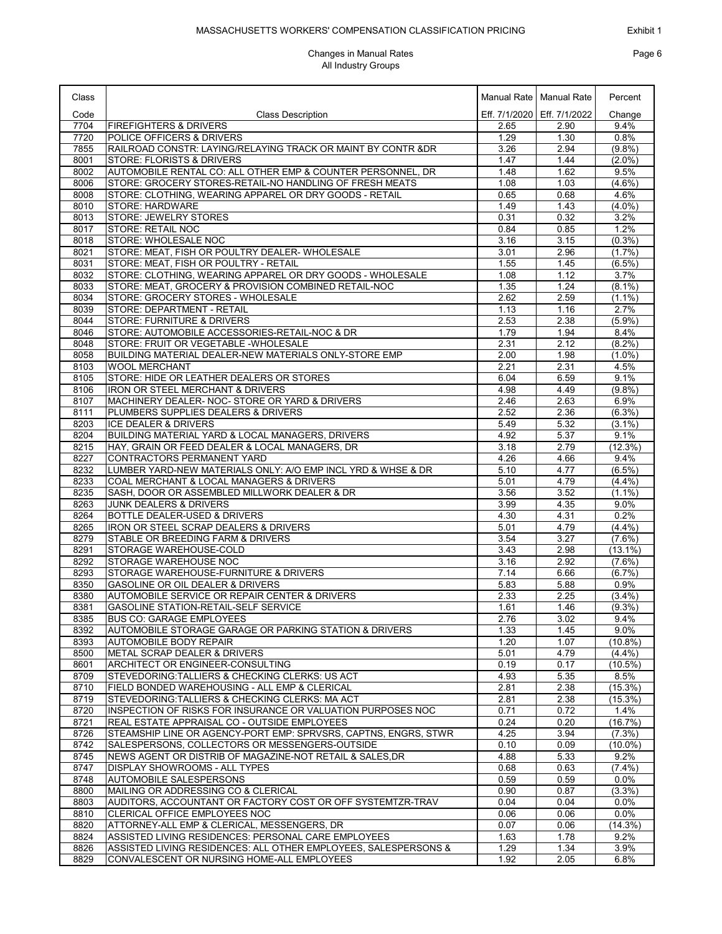# Exhibit 1 Page 6

| Class        |                                                                                                    |              | Manual Rate   Manual Rate     | Percent           |
|--------------|----------------------------------------------------------------------------------------------------|--------------|-------------------------------|-------------------|
| Code         | <b>Class Description</b>                                                                           |              | Eff. 7/1/2020   Eff. 7/1/2022 | Change            |
| 7704         | <b>FIREFIGHTERS &amp; DRIVERS</b>                                                                  | 2.65         | 2.90                          | 9.4%              |
| 7720         | POLICE OFFICERS & DRIVERS                                                                          | 1.29         | 1.30                          | 0.8%              |
| 7855         | RAILROAD CONSTR: LAYING/RELAYING TRACK OR MAINT BY CONTR &DR                                       | 3.26         | 2.94                          | (9.8%)            |
| 8001         | <b>STORE: FLORISTS &amp; DRIVERS</b>                                                               | 1.47         | 1.44                          | $(2.0\%)$         |
| 8002         | AUTOMOBILE RENTAL CO: ALL OTHER EMP & COUNTER PERSONNEL, DR                                        | 1.48         | 1.62                          | 9.5%              |
| 8006         | STORE: GROCERY STORES-RETAIL-NO HANDLING OF FRESH MEATS                                            | 1.08         | 1.03                          | $(4.6\%)$         |
| 8008<br>8010 | STORE: CLOTHING, WEARING APPAREL OR DRY GOODS - RETAIL<br><b>STORE: HARDWARE</b>                   | 0.65<br>1.49 | 0.68<br>1.43                  | 4.6%<br>$(4.0\%)$ |
| 8013         | <b>STORE: JEWELRY STORES</b>                                                                       | 0.31         | 0.32                          | 3.2%              |
| 8017         | <b>STORE: RETAIL NOC</b>                                                                           | 0.84         | 0.85                          | 1.2%              |
| 8018         | <b>STORE: WHOLESALE NOC</b>                                                                        | 3.16         | 3.15                          | (0.3% )           |
| 8021         | STORE: MEAT, FISH OR POULTRY DEALER-WHOLESALE                                                      | 3.01         | 2.96                          | (1.7%)            |
| 8031         | STORE: MEAT, FISH OR POULTRY - RETAIL                                                              | 1.55         | 1.45                          | $(6.5\%)$         |
| 8032         | STORE: CLOTHING, WEARING APPAREL OR DRY GOODS - WHOLESALE                                          | 1.08         | 1.12                          | 3.7%              |
| 8033         | STORE: MEAT, GROCERY & PROVISION COMBINED RETAIL-NOC                                               | 1.35         | 1.24                          | $(8.1\%)$         |
| 8034         | STORE: GROCERY STORES - WHOLESALE                                                                  | 2.62         | 2.59                          | $(1.1\%)$         |
| 8039         | STORE: DEPARTMENT - RETAIL                                                                         | 1.13         | 1.16                          | 2.7%              |
| 8044         | <b>STORE: FURNITURE &amp; DRIVERS</b>                                                              | 2.53         | 2.38                          | $(5.9\%)$         |
| 8046         | STORE: AUTOMOBILE ACCESSORIES-RETAIL-NOC & DR                                                      | 1.79         | 1.94                          | 8.4%              |
| 8048         | STORE: FRUIT OR VEGETABLE - WHOLESALE                                                              | 2.31         | 2.12                          | $(8.2\%)$         |
| 8058<br>8103 | BUILDING MATERIAL DEALER-NEW MATERIALS ONLY-STORE EMP<br><b>WOOL MERCHANT</b>                      | 2.00<br>2.21 | 1.98<br>2.31                  | $(1.0\%)$<br>4.5% |
| 8105         | STORE: HIDE OR LEATHER DEALERS OR STORES                                                           | 6.04         | 6.59                          | 9.1%              |
| 8106         | IRON OR STEEL MERCHANT & DRIVERS                                                                   | 4.98         | 4.49                          | (9.8%)            |
| 8107         | MACHINERY DEALER- NOC- STORE OR YARD & DRIVERS                                                     | 2.46         | 2.63                          | 6.9%              |
| 8111         | PLUMBERS SUPPLIES DEALERS & DRIVERS                                                                | 2.52         | 2.36                          | $(6.3\%)$         |
| 8203         | <b>ICE DEALER &amp; DRIVERS</b>                                                                    | 5.49         | 5.32                          | $(3.1\%)$         |
| 8204         | BUILDING MATERIAL YARD & LOCAL MANAGERS, DRIVERS                                                   | 4.92         | 5.37                          | 9.1%              |
| 8215         | HAY, GRAIN OR FEED DEALER & LOCAL MANAGERS, DR                                                     | 3.18         | 2.79                          | (12.3%)           |
| 8227         | CONTRACTORS PERMANENT YARD                                                                         | 4.26         | 4.66                          | 9.4%              |
| 8232         | LUMBER YARD-NEW MATERIALS ONLY: A/O EMP INCL YRD & WHSE & DR                                       | 5.10         | 4.77                          | $(6.5\%)$         |
| 8233         | COAL MERCHANT & LOCAL MANAGERS & DRIVERS                                                           | 5.01         | 4.79                          | (4.4%)            |
| 8235         | SASH, DOOR OR ASSEMBLED MILLWORK DEALER & DR                                                       | 3.56         | 3.52                          | $(1.1\%)$         |
| 8263         | <b>JUNK DEALERS &amp; DRIVERS</b><br>BOTTLE DEALER-USED & DRIVERS                                  | 3.99         | 4.35                          | 9.0%              |
| 8264<br>8265 | IRON OR STEEL SCRAP DEALERS & DRIVERS                                                              | 4.30<br>5.01 | 4.31<br>4.79                  | 0.2%<br>(4.4%)    |
| 8279         | STABLE OR BREEDING FARM & DRIVERS                                                                  | 3.54         | 3.27                          | $(7.6\%)$         |
| 8291         | STORAGE WAREHOUSE-COLD                                                                             | 3.43         | 2.98                          | $(13.1\%)$        |
| 8292         | STORAGE WAREHOUSE NOC                                                                              | 3.16         | 2.92                          | $(7.6\%)$         |
| 8293         | STORAGE WAREHOUSE-FURNITURE & DRIVERS                                                              | 7.14         | 6.66                          | (6.7%)            |
| 8350         | <b>GASOLINE OR OIL DEALER &amp; DRIVERS</b>                                                        | 5.83         | 5.88                          | 0.9%              |
| 8380         | AUTOMOBILE SERVICE OR REPAIR CENTER & DRIVERS                                                      | 2.33         | 2.25                          | (3.4%)            |
| 8381         | <b>GASOLINE STATION-RETAIL-SELF SERVICE</b>                                                        | 1.61         | 1.46                          | $(9.3\%)$         |
| 8385         | <b>BUS CO: GARAGE EMPLOYEES</b>                                                                    | 2.76         | 3.02                          | 9.4%              |
| 8392         | AUTOMOBILE STORAGE GARAGE OR PARKING STATION & DRIVERS                                             | 1.33         | 1.45                          | $9.0\%$           |
| 8393         | AUTOMOBILE BODY REPAIR                                                                             | 1.20         | 1.07                          | $(10.8\%)$        |
| 8500         | <b>METAL SCRAP DEALER &amp; DRIVERS</b>                                                            | 5.01         | 4.79                          | $(4.4\%)$         |
| 8601<br>8709 | ARCHITECT OR ENGINEER-CONSULTING<br>STEVEDORING: TALLIERS & CHECKING CLERKS: US ACT                | 0.19<br>4.93 | 0.17<br>5.35                  | (10.5%)<br>8.5%   |
| 8710         | FIELD BONDED WAREHOUSING - ALL EMP & CLERICAL                                                      | 2.81         | 2.38                          | $(15.3\%)$        |
| 8719         | STEVEDORING: TALLIERS & CHECKING CLERKS: MA ACT                                                    | 2.81         | 2.38                          | $(15.3\%)$        |
| 8720         | INSPECTION OF RISKS FOR INSURANCE OR VALUATION PURPOSES NOC                                        | 0.71         | 0.72                          | 1.4%              |
| 8721         | REAL ESTATE APPRAISAL CO - OUTSIDE EMPLOYEES                                                       | 0.24         | 0.20                          | $(16.7\%)$        |
| 8726         | STEAMSHIP LINE OR AGENCY-PORT EMP: SPRVSRS, CAPTNS, ENGRS, STWR                                    | 4.25         | 3.94                          | $(7.3\%)$         |
| 8742         | SALESPERSONS, COLLECTORS OR MESSENGERS-OUTSIDE                                                     | 0.10         | 0.09                          | $(10.0\%)$        |
| 8745         | NEWS AGENT OR DISTRIB OF MAGAZINE-NOT RETAIL & SALES.DR                                            | 4.88         | 5.33                          | 9.2%              |
| 8747         | DISPLAY SHOWROOMS - ALL TYPES                                                                      | 0.68         | 0.63                          | (7.4%)            |
| 8748         | <b>AUTOMOBILE SALESPERSONS</b>                                                                     | 0.59         | 0.59                          | $0.0\%$           |
| 8800         | MAILING OR ADDRESSING CO & CLERICAL                                                                | 0.90         | 0.87                          | (3.3%)            |
| 8803         | AUDITORS, ACCOUNTANT OR FACTORY COST OR OFF SYSTEMTZR-TRAV                                         | 0.04         | 0.04                          | 0.0%              |
| 8810         | CLERICAL OFFICE EMPLOYEES NOC                                                                      | 0.06         | 0.06                          | $0.0\%$           |
| 8820<br>8824 | ATTORNEY-ALL EMP & CLERICAL, MESSENGERS, DR<br>ASSISTED LIVING RESIDENCES: PERSONAL CARE EMPLOYEES | 0.07<br>1.63 | 0.06<br>1.78                  | (14.3%)<br>9.2%   |
| 8826         | ASSISTED LIVING RESIDENCES: ALL OTHER EMPLOYEES, SALESPERSONS &                                    | 1.29         | 1.34                          | 3.9%              |
| 8829         | CONVALESCENT OR NURSING HOME-ALL EMPLOYEES                                                         | 1.92         | 2.05                          | 6.8%              |
|              |                                                                                                    |              |                               |                   |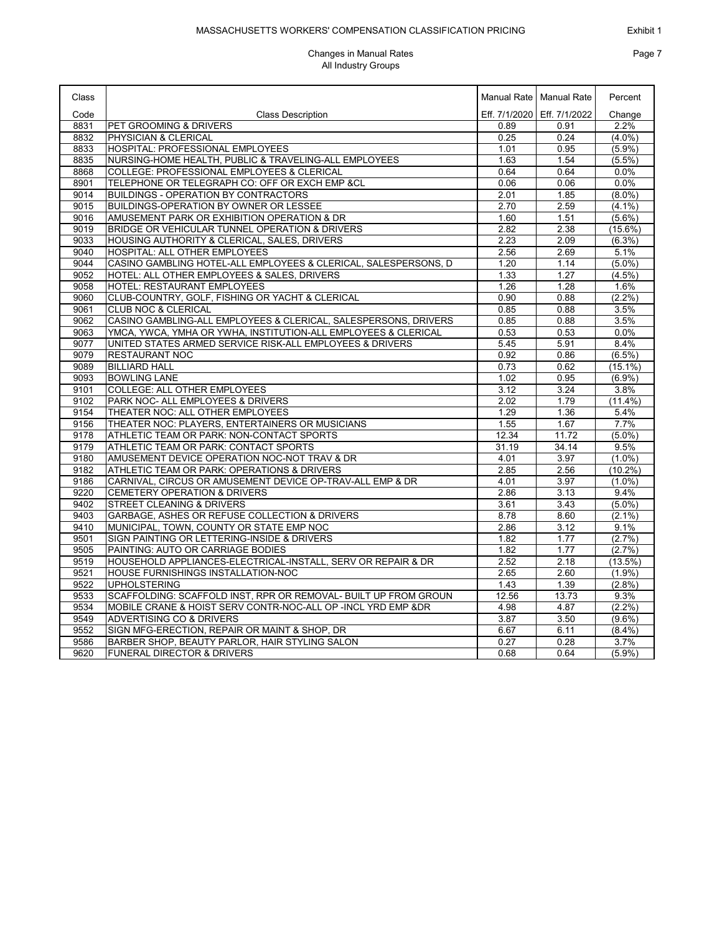#### Exhibit 1

### MASSACHUSETTS WORKERS' COMPENSATION CLASSIFICATION PRICING

| Class |                                                                 |       | Manual Rate   Manual Rate     | Percent    |
|-------|-----------------------------------------------------------------|-------|-------------------------------|------------|
| Code  | <b>Class Description</b>                                        |       | Eff. 7/1/2020   Eff. 7/1/2022 | Change     |
| 8831  | PET GROOMING & DRIVERS                                          | 0.89  | 0.91                          | 2.2%       |
| 8832  | PHYSICIAN & CLERICAL                                            | 0.25  | 0.24                          | $(4.0\%)$  |
| 8833  | HOSPITAL: PROFESSIONAL EMPLOYEES                                | 1.01  | 0.95                          | $(5.9\%)$  |
| 8835  | NURSING-HOME HEALTH, PUBLIC & TRAVELING-ALL EMPLOYEES           | 1.63  | 1.54                          | (5.5%)     |
| 8868  | COLLEGE: PROFESSIONAL EMPLOYEES & CLERICAL                      | 0.64  | 0.64                          | 0.0%       |
| 8901  | TELEPHONE OR TELEGRAPH CO: OFF OR EXCH EMP &CL                  | 0.06  | 0.06                          | 0.0%       |
| 9014  | <b>BUILDINGS - OPERATION BY CONTRACTORS</b>                     | 2.01  | 1.85                          | $(8.0\%)$  |
| 9015  | BUILDINGS-OPERATION BY OWNER OR LESSEE                          | 2.70  | 2.59                          | $(4.1\%)$  |
| 9016  | AMUSEMENT PARK OR EXHIBITION OPERATION & DR                     | 1.60  | 1.51                          | $(5.6\%)$  |
| 9019  | BRIDGE OR VEHICULAR TUNNEL OPERATION & DRIVERS                  | 2.82  | 2.38                          | $(15.6\%)$ |
| 9033  | HOUSING AUTHORITY & CLERICAL, SALES, DRIVERS                    | 2.23  | 2.09                          | (6.3%)     |
| 9040  | HOSPITAL: ALL OTHER EMPLOYEES                                   | 2.56  | 2.69                          | 5.1%       |
| 9044  | CASINO GAMBLING HOTEL-ALL EMPLOYEES & CLERICAL, SALESPERSONS, D | 1.20  | 1.14                          | $(5.0\%)$  |
| 9052  | HOTEL: ALL OTHER EMPLOYEES & SALES, DRIVERS                     | 1.33  | 1.27                          | $(4.5\%)$  |
| 9058  | HOTEL: RESTAURANT EMPLOYEES                                     | 1.26  | 1.28                          | 1.6%       |
| 9060  | CLUB-COUNTRY, GOLF, FISHING OR YACHT & CLERICAL                 | 0.90  | 0.88                          | $(2.2\%)$  |
| 9061  | <b>CLUB NOC &amp; CLERICAL</b>                                  | 0.85  | 0.88                          | 3.5%       |
| 9062  | CASINO GAMBLING-ALL EMPLOYEES & CLERICAL, SALESPERSONS, DRIVERS | 0.85  | 0.88                          | 3.5%       |
| 9063  | YMCA, YWCA, YMHA OR YWHA, INSTITUTION-ALL EMPLOYEES & CLERICAL  | 0.53  | 0.53                          | 0.0%       |
| 9077  | UNITED STATES ARMED SERVICE RISK-ALL EMPLOYEES & DRIVERS        | 5.45  | 5.91                          | 8.4%       |
| 9079  | <b>RESTAURANT NOC</b>                                           | 0.92  | 0.86                          | (6.5%)     |
| 9089  | <b>BILLIARD HALL</b>                                            | 0.73  | 0.62                          | $(15.1\%)$ |
| 9093  | <b>BOWLING LANE</b>                                             | 1.02  | 0.95                          | $(6.9\%)$  |
| 9101  | COLLEGE: ALL OTHER EMPLOYEES                                    | 3.12  | 3.24                          | 3.8%       |
| 9102  | PARK NOC- ALL EMPLOYEES & DRIVERS                               | 2.02  | 1.79                          | $(11.4\%)$ |
| 9154  | THEATER NOC: ALL OTHER EMPLOYEES                                | 1.29  | 1.36                          | 5.4%       |
| 9156  | THEATER NOC: PLAYERS, ENTERTAINERS OR MUSICIANS                 | 1.55  | 1.67                          | 7.7%       |
| 9178  | ATHLETIC TEAM OR PARK: NON-CONTACT SPORTS                       | 12.34 | 11.72                         | $(5.0\%)$  |
| 9179  | ATHLETIC TEAM OR PARK: CONTACT SPORTS                           | 31.19 | 34.14                         | 9.5%       |
| 9180  | AMUSEMENT DEVICE OPERATION NOC-NOT TRAV & DR                    | 4.01  | 3.97                          | $(1.0\%)$  |
| 9182  | ATHLETIC TEAM OR PARK: OPERATIONS & DRIVERS                     | 2.85  | 2.56                          | $(10.2\%)$ |
| 9186  | CARNIVAL, CIRCUS OR AMUSEMENT DEVICE OP-TRAV-ALL EMP & DR       | 4.01  | 3.97                          | $(1.0\%)$  |
| 9220  | <b>CEMETERY OPERATION &amp; DRIVERS</b>                         | 2.86  | 3.13                          | 9.4%       |
| 9402  | <b>STREET CLEANING &amp; DRIVERS</b>                            | 3.61  | 3.43                          | $(5.0\%)$  |
| 9403  | GARBAGE, ASHES OR REFUSE COLLECTION & DRIVERS                   | 8.78  | 8.60                          | $(2.1\%)$  |
| 9410  | MUNICIPAL, TOWN, COUNTY OR STATE EMP NOC                        | 2.86  | 3.12                          | 9.1%       |
| 9501  | SIGN PAINTING OR LETTERING-INSIDE & DRIVERS                     | 1.82  | 1.77                          | $(2.7\%)$  |
| 9505  | PAINTING: AUTO OR CARRIAGE BODIES                               | 1.82  | 1.77                          | (2.7%      |
| 9519  | HOUSEHOLD APPLIANCES-ELECTRICAL-INSTALL, SERV OR REPAIR & DR    | 2.52  | 2.18                          | (13.5%)    |
| 9521  | HOUSE FURNISHINGS INSTALLATION-NOC                              | 2.65  | 2.60                          | (1.9%)     |
| 9522  | <b>UPHOLSTERING</b>                                             | 1.43  | 1.39                          | (2.8%)     |
| 9533  | SCAFFOLDING: SCAFFOLD INST, RPR OR REMOVAL- BUILT UP FROM GROUN | 12.56 | 13.73                         | 9.3%       |
| 9534  | MOBILE CRANE & HOIST SERV CONTR-NOC-ALL OP -INCL YRD EMP &DR    | 4.98  | 4.87                          | (2.2%)     |
| 9549  | ADVERTISING CO & DRIVERS                                        | 3.87  | 3.50                          | $(9.6\%)$  |
| 9552  | SIGN MFG-ERECTION, REPAIR OR MAINT & SHOP, DR                   | 6.67  | 6.11                          | $(8.4\%)$  |
| 9586  | BARBER SHOP, BEAUTY PARLOR, HAIR STYLING SALON                  | 0.27  | 0.28                          | 3.7%       |
|       |                                                                 |       |                               |            |
| 9620  | FUNERAL DIRECTOR & DRIVERS                                      | 0.68  | 0.64                          | (5.9%)     |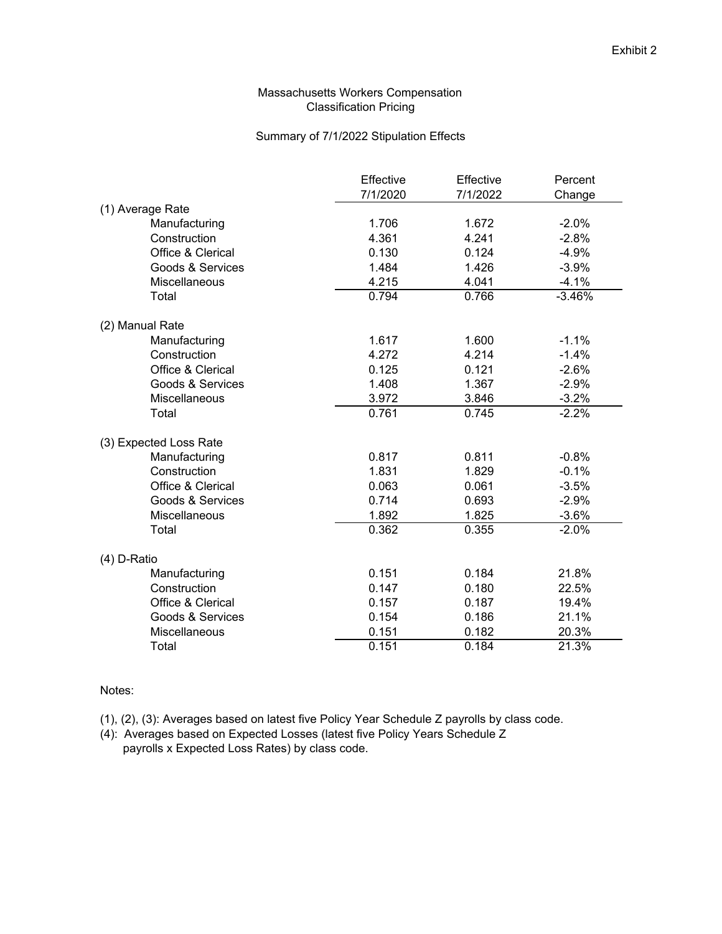## Massachusetts Workers Compensation Classification Pricing

## Summary of 7/1/2022 Stipulation Effects

|                        | Effective | Effective | Percent  |
|------------------------|-----------|-----------|----------|
|                        | 7/1/2020  | 7/1/2022  | Change   |
| (1) Average Rate       |           |           |          |
| Manufacturing          | 1.706     | 1.672     | $-2.0%$  |
| Construction           | 4.361     | 4.241     | $-2.8%$  |
| Office & Clerical      | 0.130     | 0.124     | $-4.9%$  |
| Goods & Services       | 1.484     | 1.426     | $-3.9%$  |
| <b>Miscellaneous</b>   | 4.215     | 4.041     | $-4.1%$  |
| Total                  | 0.794     | 0.766     | $-3.46%$ |
| (2) Manual Rate        |           |           |          |
| Manufacturing          | 1.617     | 1.600     | $-1.1%$  |
| Construction           | 4.272     | 4.214     | $-1.4%$  |
| Office & Clerical      | 0.125     | 0.121     | $-2.6%$  |
| Goods & Services       | 1.408     | 1.367     | $-2.9%$  |
| <b>Miscellaneous</b>   | 3.972     | 3.846     | $-3.2%$  |
| Total                  | 0.761     | 0.745     | $-2.2%$  |
| (3) Expected Loss Rate |           |           |          |
| Manufacturing          | 0.817     | 0.811     | $-0.8%$  |
| Construction           | 1.831     | 1.829     | $-0.1%$  |
| Office & Clerical      | 0.063     | 0.061     | $-3.5%$  |
| Goods & Services       | 0.714     | 0.693     | $-2.9%$  |
| <b>Miscellaneous</b>   | 1.892     | 1.825     | $-3.6%$  |
| Total                  | 0.362     | 0.355     | $-2.0%$  |
| (4) D-Ratio            |           |           |          |
| Manufacturing          | 0.151     | 0.184     | 21.8%    |
| Construction           | 0.147     | 0.180     | 22.5%    |
| Office & Clerical      | 0.157     | 0.187     | 19.4%    |
| Goods & Services       | 0.154     | 0.186     | 21.1%    |
| Miscellaneous          | 0.151     | 0.182     | 20.3%    |
| Total                  | 0.151     | 0.184     | 21.3%    |

### Notes:

- (1), (2), (3): Averages based on latest five Policy Year Schedule Z payrolls by class code.
- (4): Averages based on Expected Losses (latest five Policy Years Schedule Z payrolls x Expected Loss Rates) by class code.